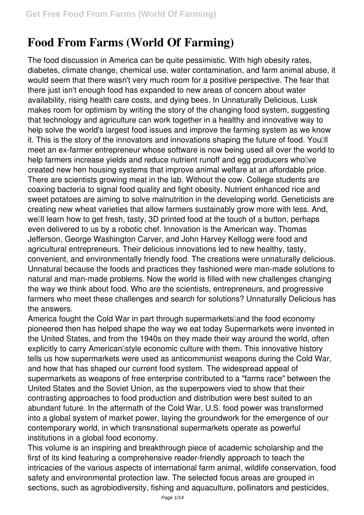# **Food From Farms (World Of Farming)**

The food discussion in America can be quite pessimistic. With high obesity rates, diabetes, climate change, chemical use, water contamination, and farm animal abuse, it would seem that there wasn't very much room for a positive perspective. The fear that there just isn't enough food has expanded to new areas of concern about water availability, rising health care costs, and dying bees. In Unnaturally Delicious, Lusk makes room for optimism by writing the story of the changing food system, suggesting that technology and agriculture can work together in a healthy and innovative way to help solve the world's largest food issues and improve the farming system as we know it. This is the story of the innovators and innovations shaping the future of food. You<sup>n</sup> meet an ex-farmer entrepreneur whose software is now being used all over the world to help farmers increase yields and reduce nutrient runoff and egg producers whollye created new hen housing systems that improve animal welfare at an affordable price. There are scientists growing meat in the lab. Without the cow. College students are coaxing bacteria to signal food quality and fight obesity. Nutrient enhanced rice and sweet potatoes are aiming to solve malnutrition in the developing world. Geneticists are creating new wheat varieties that allow farmers sustainably grow more with less. And, well learn how to get fresh, tasty, 3D printed food at the touch of a button, perhaps even delivered to us by a robotic chef. Innovation is the American way. Thomas Jefferson, George Washington Carver, and John Harvey Kellogg were food and agricultural entrepreneurs. Their delicious innovations led to new healthy, tasty, convenient, and environmentally friendly food. The creations were unnaturally delicious. Unnatural because the foods and practices they fashioned were man-made solutions to natural and man-made problems. Now the world is filled with new challenges changing the way we think about food. Who are the scientists, entrepreneurs, and progressive farmers who meet these challenges and search for solutions? Unnaturally Delicious has the answers.

America fought the Cold War in part through supermarkets and the food economy pioneered then has helped shape the way we eat today Supermarkets were invented in the United States, and from the 1940s on they made their way around the world, often explicitly to carry American Dstyle economic culture with them. This innovative history tells us how supermarkets were used as anticommunist weapons during the Cold War, and how that has shaped our current food system. The widespread appeal of supermarkets as weapons of free enterprise contributed to a "farms race" between the United States and the Soviet Union, as the superpowers vied to show that their contrasting approaches to food production and distribution were best suited to an abundant future. In the aftermath of the Cold War, U.S. food power was transformed into a global system of market power, laying the groundwork for the emergence of our contemporary world, in which transnational supermarkets operate as powerful institutions in a global food economy.

This volume is an inspiring and breakthrough piece of academic scholarship and the first of its kind featuring a comprehensive reader-friendly approach to teach the intricacies of the various aspects of international farm animal, wildlife conservation, food safety and environmental protection law. The selected focus areas are grouped in sections, such as agrobiodiversity, fishing and aquaculture, pollinators and pesticides,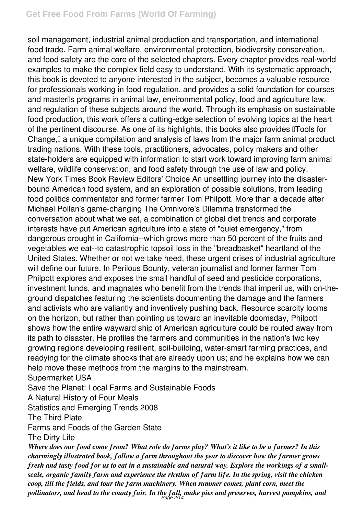soil management, industrial animal production and transportation, and international food trade. Farm animal welfare, environmental protection, biodiversity conservation, and food safety are the core of the selected chapters. Every chapter provides real-world examples to make the complex field easy to understand. With its systematic approach, this book is devoted to anyone interested in the subject, becomes a valuable resource for professionals working in food regulation, and provides a solid foundation for courses and masterlls programs in animal law, environmental policy, food and agriculture law, and regulation of these subjects around the world. Through its emphasis on sustainable food production, this work offers a cutting-edge selection of evolving topics at the heart of the pertinent discourse. As one of its highlights, this books also provides "Tools for Change, I a unique compilation and analysis of laws from the major farm animal product trading nations. With these tools, practitioners, advocates, policy makers and other state-holders are equipped with information to start work toward improving farm animal welfare, wildlife conservation, and food safety through the use of law and policy. New York Times Book Review Editors' Choice An unsettling journey into the disasterbound American food system, and an exploration of possible solutions, from leading food politics commentator and former farmer Tom Philpott. More than a decade after Michael Pollan's game-changing The Omnivore's Dilemma transformed the conversation about what we eat, a combination of global diet trends and corporate interests have put American agriculture into a state of "quiet emergency," from dangerous drought in California--which grows more than 50 percent of the fruits and vegetables we eat--to catastrophic topsoil loss in the "breadbasket" heartland of the United States. Whether or not we take heed, these urgent crises of industrial agriculture will define our future. In Perilous Bounty, veteran journalist and former farmer Tom Philpott explores and exposes the small handful of seed and pesticide corporations, investment funds, and magnates who benefit from the trends that imperil us, with on-theground dispatches featuring the scientists documenting the damage and the farmers and activists who are valiantly and inventively pushing back. Resource scarcity looms on the horizon, but rather than pointing us toward an inevitable doomsday, Philpott shows how the entire wayward ship of American agriculture could be routed away from its path to disaster. He profiles the farmers and communities in the nation's two key growing regions developing resilient, soil-building, water-smart farming practices, and readying for the climate shocks that are already upon us; and he explains how we can help move these methods from the margins to the mainstream. Supermarket USA

Save the Planet: Local Farms and Sustainable Foods

A Natural History of Four Meals

Statistics and Emerging Trends 2008

The Third Plate

Farms and Foods of the Garden State

The Dirty Life

*Where does our food come from? What role do farms play? What's it like to be a farmer? In this charmingly illustrated book, follow a farm throughout the year to discover how the farmer grows fresh and tasty food for us to eat in a sustainable and natural way. Explore the workings of a smallscale, organic family farm and experience the rhythm of farm life. In the spring, visit the chicken coop, till the fields, and tour the farm machinery. When summer comes, plant corn, meet the pollinators, and head to the county fair. In the fall, make pies and preserves, harvest pumpkins, and* Page 2/14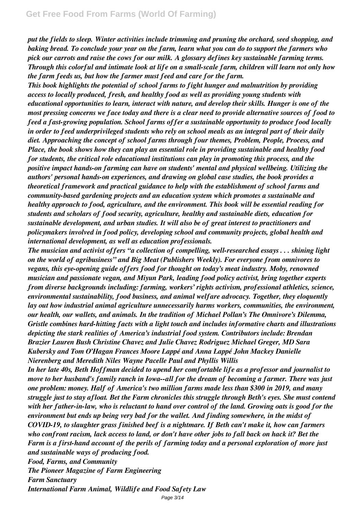*put the fields to sleep. Winter activities include trimming and pruning the orchard, seed shopping, and baking bread. To conclude your year on the farm, learn what you can do to support the farmers who pick our carrots and raise the cows for our milk. A glossary defines key sustainable farming terms. Through this colorful and intimate look at life on a small-scale farm, children will learn not only how the farm feeds us, but how the farmer must feed and care for the farm.*

*This book highlights the potential of school farms to fight hunger and malnutrition by providing access to locally produced, fresh, and healthy food as well as providing young students with educational opportunities to learn, interact with nature, and develop their skills. Hunger is one of the most pressing concerns we face today and there is a clear need to provide alternative sources of food to feed a fast-growing population. School farms offer a sustainable opportunity to produce food locally in order to feed underprivileged students who rely on school meals as an integral part of their daily diet. Approaching the concept of school farms through four themes, Problem, People, Process, and Place, the book shows how they can play an essential role in providing sustainable and healthy food for students, the critical role educational institutions can play in promoting this process, and the positive impact hands-on farming can have on students' mental and physical wellbeing. Utilizing the authors' personal hands-on experiences, and drawing on global case studies, the book provides a theoretical framework and practical guidance to help with the establishment of school farms and community-based gardening projects and an education system which promotes a sustainable and healthy approach to food, agriculture, and the environment. This book will be essential reading for students and scholars of food security, agriculture, healthy and sustainable diets, education for sustainable development, and urban studies. It will also be of great interest to practitioners and policymakers involved in food policy, developing school and community projects, global health and international development, as well as education professionals.*

*The musician and activist offers "a collection of compelling, well-researched essays . . . shining light on the world of agribusiness" and Big Meat (Publishers Weekly). For everyone from omnivores to vegans, this eye-opening guide offers food for thought on today's meat industry. Moby, renowned musician and passionate vegan, and Miyun Park, leading food policy activist, bring together experts from diverse backgrounds including: farming, workers' rights activism, professional athletics, science, environmental sustainability, food business, and animal welfare advocacy. Together, they eloquently lay out how industrial animal agriculture unnecessarily harms workers, communities, the environment, our health, our wallets, and animals. In the tradition of Michael Pollan's The Omnivore's Dilemma, Gristle combines hard-hitting facts with a light touch and includes informative charts and illustrations depicting the stark realities of America's industrial food system. Contributors include: Brendan Brazier Lauren Bush Christine Chavez and Julie Chavez Rodriguez Michael Greger, MD Sara Kubersky and Tom O'Hagan Frances Moore Lappé and Anna Lappé John Mackey Danielle Nierenberg and Meredith Niles Wayne Pacelle Paul and Phyllis Willis*

*In her late 40s, Beth Hoffman decided to upend her comfortable life as a professor and journalist to move to her husband's family ranch in Iowa--all for the dream of becoming a farmer. There was just one problem: money. Half of America's two million farms made less than \$300 in 2019, and many struggle just to stay afloat. Bet the Farm chronicles this struggle through Beth's eyes. She must contend with her father-in-law, who is reluctant to hand over control of the land. Growing oats is good for the environment but ends up being very bad for the wallet. And finding somewhere, in the midst of COVID-19, to slaughter grass finished beef is a nightmare. If Beth can't make it, how can farmers who confront racism, lack access to land, or don't have other jobs to fall back on hack it? Bet the Farm is a first-hand account of the perils of farming today and a personal exploration of more just and sustainable ways of producing food.*

*Food, Farms, and Community*

*The Pioneer Magazine of Farm Engineering*

*Farm Sanctuary*

*International Farm Animal, Wildlife and Food Safety Law*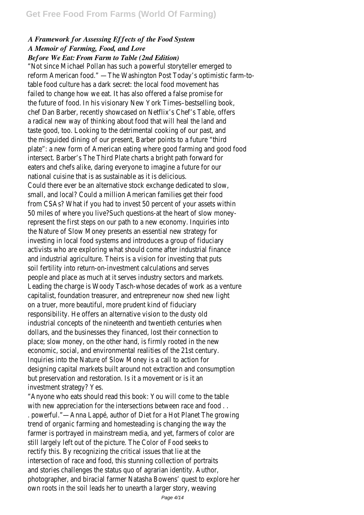## *A Framework for Assessing Effects of the Food System*

#### *A Memoir of Farming, Food, and Love*

#### *Before We Eat: From Farm to Table (2nd Edition)*

"Not since Michael Pollan has such a powerful storyteller emerged to reform American food." —The Washington Post Today's optimistic farm-totable food culture has a dark secret: the local food movement has failed to change how we eat. It has also offered a false promise for the future of food. In his visionary New York Times–bestselling book, chef Dan Barber, recently showcased on Netflix's Chef's Table, offers a radical new way of thinking about food that will heal the land and taste good, too. Looking to the detrimental cooking of our past, and the misguided dining of our present, Barber points to a future "third plate": a new form of American eating where good farming and good food intersect. Barber's The Third Plate charts a bright path forward for eaters and chefs alike, daring everyone to imagine a future for our national cuisine that is as sustainable as it is delicious. Could there ever be an alternative stock exchange dedicated to slow, small, and local? Could a million American families get their food from CSAs? What if you had to invest 50 percent of your assets within 50 miles of where you live?Such questions-at the heart of slow moneyrepresent the first steps on our path to a new economy. Inquiries into the Nature of Slow Money presents an essential new strategy for investing in local food systems and introduces a group of fiduciary activists who are exploring what should come after industrial finance and industrial agriculture. Theirs is a vision for investing that puts soil fertility into return-on-investment calculations and serves people and place as much at it serves industry sectors and markets. Leading the charge is Woody Tasch-whose decades of work as a venture capitalist, foundation treasurer, and entrepreneur now shed new light on a truer, more beautiful, more prudent kind of fiduciary responsibility. He offers an alternative vision to the dusty old industrial concepts of the nineteenth and twentieth centuries when dollars, and the businesses they financed, lost their connection to place; slow money, on the other hand, is firmly rooted in the new economic, social, and environmental realities of the 21st century. Inquiries into the Nature of Slow Money is a call to action for designing capital markets built around not extraction and consumption but preservation and restoration. Is it a movement or is it an investment strategy? Yes.

"Anyone who eats should read this book: You will come to the table with new appreciation for the intersections between race and food ... . powerful."—Anna Lappé, author of Diet for a Hot Planet The growing trend of organic farming and homesteading is changing the way the farmer is portrayed in mainstream media, and yet, farmers of color are still largely left out of the picture. The Color of Food seeks to rectify this. By recognizing the critical issues that lie at the intersection of race and food, this stunning collection of portraits and stories challenges the status quo of agrarian identity. Author, photographer, and biracial farmer Natasha Bowens' quest to explore her own roots in the soil leads her to unearth a larger story, weaving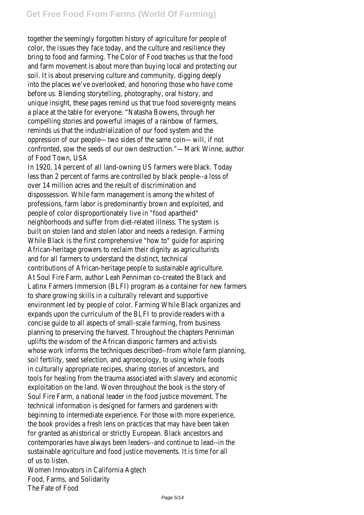together the seemingly forgotten history of agriculture for people of color, the issues they face today, and the culture and resilience they bring to food and farming. The Color of Food teaches us that the food and farm movement is about more than buying local and protecting our soil. It is about preserving culture and community, digging deeply into the places we've overlooked, and honoring those who have come before us. Blending storytelling, photography, oral history, and unique insight, these pages remind us that true food sovereignty means a place at the table for everyone. "Natasha Bowens, through her compelling stories and powerful images of a rainbow of farmers, reminds us that the industrialization of our food system and the oppression of our people—two sides of the same coin—will, if not confronted, sow the seeds of our own destruction."—Mark Winne, author of Food Town, USA

In 1920, 14 percent of all land-owning US farmers were black. Today less than 2 percent of farms are controlled by black people--a loss of over 14 million acres and the result of discrimination and dispossession. While farm management is among the whitest of professions, farm labor is predominantly brown and exploited, and people of color disproportionately live in "food apartheid" neighborhoods and suffer from diet-related illness. The system is built on stolen land and stolen labor and needs a redesign. Farming While Black is the first comprehensive "how to" guide for aspiring African-heritage growers to reclaim their dignity as agriculturists and for all farmers to understand the distinct, technical contributions of African-heritage people to sustainable agriculture. At Soul Fire Farm, author Leah Penniman co-created the Black and Latinx Farmers Immersion (BLFI) program as a container for new farmers to share growing skills in a culturally relevant and supportive environment led by people of color. Farming While Black organizes and expands upon the curriculum of the BLFI to provide readers with a concise guide to all aspects of small-scale farming, from business planning to preserving the harvest. Throughout the chapters Penniman uplifts the wisdom of the African diasporic farmers and activists whose work informs the techniques described--from whole farm planning, soil fertility, seed selection, and agroecology, to using whole foods in culturally appropriate recipes, sharing stories of ancestors, and tools for healing from the trauma associated with slavery and economic exploitation on the land. Woven throughout the book is the story of Soul Fire Farm, a national leader in the food justice movement. The technical information is designed for farmers and gardeners with beginning to intermediate experience. For those with more experience, the book provides a fresh lens on practices that may have been taken for granted as ahistorical or strictly European. Black ancestors and contemporaries have always been leaders--and continue to lead--in the sustainable agriculture and food justice movements. It is time for all of us to listen.

Women Innovators in California Agtech Food, Farms, and Solidarity The Fate of Food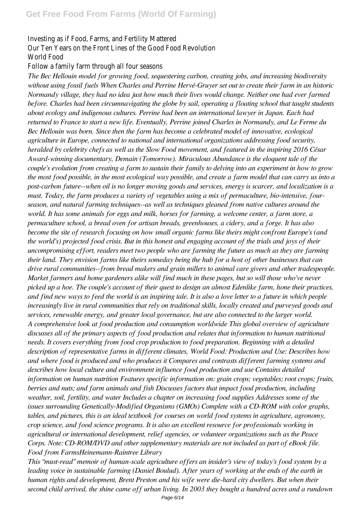#### Investing as if Food, Farms, and Fertility Mattered Our Ten Years on the Front Lines of the Good Food Revolution World Food

Follow a family farm through all four seasons

*The Bec Hellouin model for growing food, sequestering carbon, creating jobs, and increasing biodiversity without using fossil fuels When Charles and Perrine Hervé-Gruyer set out to create their farm in an historic Normandy village, they had no idea just how much their lives would change. Neither one had ever farmed before. Charles had been circumnavigating the globe by sail, operating a floating school that taught students about ecology and indigenous cultures. Perrine had been an international lawyer in Japan. Each had returned to France to start a new life. Eventually, Perrine joined Charles in Normandy, and Le Ferme du Bec Hellouin was born. Since then the farm has become a celebrated model of innovative, ecological agriculture in Europe, connected to national and international organizations addressing food security, heralded by celebrity chefs as well as the Slow Food movement, and featured in the inspiring 2016 César Award-winning documentary, Demain (Tomorrow). Miraculous Abundance is the eloquent tale of the couple's evolution from creating a farm to sustain their family to delving into an experiment in how to grow the most food possible, in the most ecological way possible, and create a farm model that can carry us into a post-carbon future--when oil is no longer moving goods and services, energy is scarcer, and localization is a must. Today, the farm produces a variety of vegetables using a mix of permaculture, bio-intensive, fourseason, and natural farming techniques--as well as techniques gleaned from native cultures around the world. It has some animals for eggs and milk, horses for farming, a welcome center, a farm store, a permaculture school, a bread oven for artisan breads, greenhouses, a cidery, and a forge. It has also become the site of research focusing on how small organic farms like theirs might confront Europe's (and the world's) projected food crisis. But in this honest and engaging account of the trials and joys of their uncompromising effort, readers meet two people who are farming the future as much as they are farming their land. They envision farms like theirs someday being the hub for a host of other businesses that can drive rural communities--from bread makers and grain millers to animal care givers and other tradespeople. Market farmers and home gardeners alike will find much in these pages, but so will those who've never picked up a hoe. The couple's account of their quest to design an almost Edenlike farm, hone their practices, and find new ways to feed the world is an inspiring tale. It is also a love letter to a future in which people increasingly live in rural communities that rely on traditional skills, locally created and purveyed goods and services, renewable energy, and greater local governance, but are also connected to the larger world. A comprehensive look at food production and consumption worldwide This global overview of agriculture discusses all of the primary aspects of food production and relates that information to human nutritional needs. It covers everything from food crop production to food preparation. Beginning with a detailed description of representative farms in different climates, World Food: Production and Use: Describes how and where food is produced and who produces it Compares and contrasts different farming systems and describes how local culture and environment influence food production and use Contains detailed information on human nutrition Features specific information on: grain crops; vegetables; root crops; fruits, berries and nuts; and farm animals and fish Discusses factors that impact food production, including weather, soil, fertility, and water Includes a chapter on increasing food supplies Addresses some of the issues surrounding Genetically-Modified Organisms (GMOs) Complete with a CD-ROM with color graphs, tables, and pictures, this is an ideal textbook for courses on world food systems in agriculture, agronomy, crop science, and food science programs. It is also an excellent resource for professionals working in agricultural or international development, relief agencies, or volunteer organizations such as the Peace Corps. Note: CD-ROM/DVD and other supplementary materials are not included as part of eBook file. Food from FarmsHeinemann-Raintree Library*

*This "must-read" memoir of human-scale agriculture offers an insider's view of today's food system by a leading voice in sustainable farming (Daniel Boulud). After years of working at the ends of the earth in human rights and development, Brent Preston and his wife were die-hard city dwellers. But when their second child arrived, the shine came off urban living. In 2003 they bought a hundred acres and a rundown*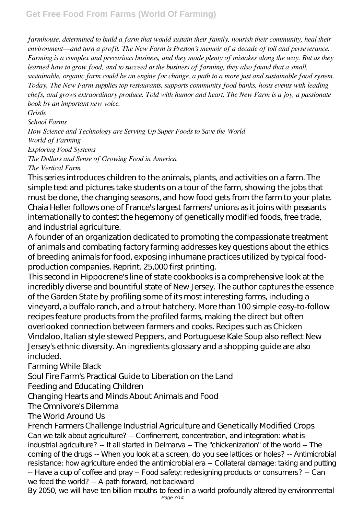*farmhouse, determined to build a farm that would sustain their family, nourish their community, heal their environment—and turn a profit. The New Farm is Preston's memoir of a decade of toil and perseverance. Farming is a complex and precarious business, and they made plenty of mistakes along the way. But as they learned how to grow food, and to succeed at the business of farming, they also found that a small, sustainable, organic farm could be an engine for change, a path to a more just and sustainable food system. Today, The New Farm supplies top restaurants, supports community food banks, hosts events with leading chefs, and grows extraordinary produce. Told with humor and heart, The New Farm is a joy, a passionate book by an important new voice.*

*Gristle*

*School Farms*

*How Science and Technology are Serving Up Super Foods to Save the World World of Farming Exploring Food Systems The Dollars and Sense of Growing Food in America The Vertical Farm*

This series introduces children to the animals, plants, and activities on a farm. The simple text and pictures take students on a tour of the farm, showing the jobs that must be done, the changing seasons, and how food gets from the farm to your plate. Chaia Heller follows one of France's largest farmers' unions as it joins with peasants internationally to contest the hegemony of genetically modified foods, free trade, and industrial agriculture.

A founder of an organization dedicated to promoting the compassionate treatment of animals and combating factory farming addresses key questions about the ethics of breeding animals for food, exposing inhumane practices utilized by typical foodproduction companies. Reprint. 25,000 first printing.

This second in Hippocrene's line of state cookbooks is a comprehensive look at the incredibly diverse and bountiful state of New Jersey. The author captures the essence of the Garden State by profiling some of its most interesting farms, including a vineyard, a buffalo ranch, and a trout hatchery. More than 100 simple easy-to-follow recipes feature products from the profiled farms, making the direct but often overlooked connection between farmers and cooks. Recipes such as Chicken Vindaloo, Italian style stewed Peppers, and Portuguese Kale Soup also reflect New Jersey's ethnic diversity. An ingredients glossary and a shopping guide are also included.

### Farming While Black

Soul Fire Farm's Practical Guide to Liberation on the Land

Feeding and Educating Children

Changing Hearts and Minds About Animals and Food

### The Omnivore's Dilemma

### The World Around Us

# French Farmers Challenge Industrial Agriculture and Genetically Modified Crops

Can we talk about agriculture? -- Confinement, concentration, and integration: what is industrial agriculture? -- It all started in Delmarva -- The "chickenization" of the world -- The coming of the drugs -- When you look at a screen, do you see lattices or holes? -- Antimicrobial resistance: how agriculture ended the antimicrobial era -- Collateral damage: taking and putting -- Have a cup of coffee and pray -- Food safety: redesigning products or consumers? -- Can we feed the world? -- A path forward, not backward

By 2050, we will have ten billion mouths to feed in a world profoundly altered by environmental Page 7/14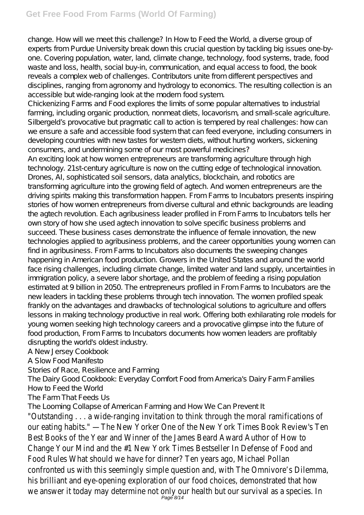change. How will we meet this challenge? In How to Feed the World, a diverse group of experts from Purdue University break down this crucial question by tackling big issues one-byone. Covering population, water, land, climate change, technology, food systems, trade, food waste and loss, health, social buy-in, communication, and equal access to food, the book reveals a complex web of challenges. Contributors unite from different perspectives and disciplines, ranging from agronomy and hydrology to economics. The resulting collection is an accessible but wide-ranging look at the modern food system.

Chickenizing Farms and Food explores the limits of some popular alternatives to industrial farming, including organic production, nonmeat diets, locavorism, and small-scale agriculture. Silbergeld's provocative but pragmatic call to action is tempered by real challenges: how can we ensure a safe and accessible food system that can feed everyone, including consumers in developing countries with new tastes for western diets, without hurting workers, sickening consumers, and undermining some of our most powerful medicines?

An exciting look at how women entrepreneurs are transforming agriculture through high technology. 21st-century agriculture is now on the cutting edge of technological innovation. Drones, AI, sophisticated soil sensors, data analytics, blockchain, and robotics are transforming agriculture into the growing field of agtech. And women entrepreneurs are the driving spirits making this transformation happen. From Farms to Incubators presents inspiring stories of how women entrepreneurs from diverse cultural and ethnic backgrounds are leading the agtech revolution. Each agribusiness leader profiled in From Farms to Incubators tells her own story of how she used agtech innovation to solve specific business problems and succeed. These business cases demonstrate the influence of female innovation, the new technologies applied to agribusiness problems, and the career opportunities young women can find in agribusiness. From Farms to Incubators also documents the sweeping changes happening in American food production. Growers in the United States and around the world face rising challenges, including climate change, limited water and land supply, uncertainties in immigration policy, a severe labor shortage, and the problem of feeding a rising population estimated at 9 billion in 2050. The entrepreneurs profiled in From Farms to Incubators are the new leaders in tackling these problems through tech innovation. The women profiled speak frankly on the advantages and drawbacks of technological solutions to agriculture and offers lessons in making technology productive in real work. Offering both exhilarating role models for young women seeking high technology careers and a provocative glimpse into the future of food production, From Farms to Incubators documents how women leaders are profitably disrupting the world's oldest industry.

A New Jersey Cookbook

A Slow Food Manifesto

Stories of Race, Resilience and Farming

The Dairy Good Cookbook: Everyday Comfort Food from America's Dairy Farm Families How to Feed the World

The Farm That Feeds Us

The Looming Collapse of American Farming and How We Can Prevent It

"Outstanding . . . a wide-ranging invitation to think through the moral ramifications of our eating habits." —The New Yorker One of the New York Times Book Review's Ten Best Books of the Year and Winner of the James Beard Award Author of How to Change Your Mind and the #1 New York Times Bestseller In Defense of Food and Food Rules What should we have for dinner? Ten years ago, Michael Pollan confronted us with this seemingly simple question and, with The Omnivore's Dilemma, his brilliant and eye-opening exploration of our food choices, demonstrated that how we answer it today may determine not only our health but our survival as a species. In we answer it today may determine not only our health but our survival as a species. In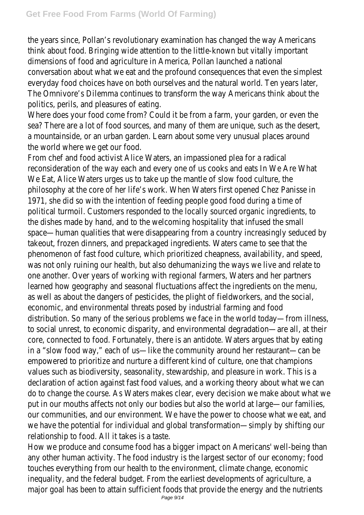the years since, Pollan's revolutionary examination has changed the way Americans think about food. Bringing wide attention to the little-known but vitally important dimensions of food and agriculture in America, Pollan launched a national conversation about what we eat and the profound consequences that even the simplest everyday food choices have on both ourselves and the natural world. Ten years later, The Omnivore's Dilemma continues to transform the way Americans think about the politics, perils, and pleasures of eating.

Where does your food come from? Could it be from a farm, your garden, or even the sea? There are a lot of food sources, and many of them are unique, such as the desert, a mountainside, or an urban garden. Learn about some very unusual places around the world where we get our food.

From chef and food activist Alice Waters, an impassioned plea for a radical reconsideration of the way each and every one of us cooks and eats In We Are What We Eat, Alice Waters urges us to take up the mantle of slow food culture, the philosophy at the core of her life's work. When Waters first opened Chez Panisse in 1971, she did so with the intention of feeding people good food during a time of political turmoil. Customers responded to the locally sourced organic ingredients, to the dishes made by hand, and to the welcoming hospitality that infused the small space—human qualities that were disappearing from a country increasingly seduced by takeout, frozen dinners, and prepackaged ingredients. Waters came to see that the phenomenon of fast food culture, which prioritized cheapness, availability, and speed, was not only ruining our health, but also dehumanizing the ways we live and relate to one another. Over years of working with regional farmers, Waters and her partners learned how geography and seasonal fluctuations affect the ingredients on the menu, as well as about the dangers of pesticides, the plight of fieldworkers, and the social, economic, and environmental threats posed by industrial farming and food distribution. So many of the serious problems we face in the world today—from illness, to social unrest, to economic disparity, and environmental degradation—are all, at their core, connected to food. Fortunately, there is an antidote. Waters argues that by eating in a "slow food way," each of us—like the community around her restaurant—can be empowered to prioritize and nurture a different kind of culture, one that champions values such as biodiversity, seasonality, stewardship, and pleasure in work. This is a declaration of action against fast food values, and a working theory about what we can do to change the course. As Waters makes clear, every decision we make about what we put in our mouths affects not only our bodies but also the world at large—our families, our communities, and our environment. We have the power to choose what we eat, and we have the potential for individual and global transformation—simply by shifting our relationship to food. All it takes is a taste.

How we produce and consume food has a bigger impact on Americans' well-being than any other human activity. The food industry is the largest sector of our economy; food touches everything from our health to the environment, climate change, economic inequality, and the federal budget. From the earliest developments of agriculture, a major goal has been to attain sufficient foods that provide the energy and the nutrients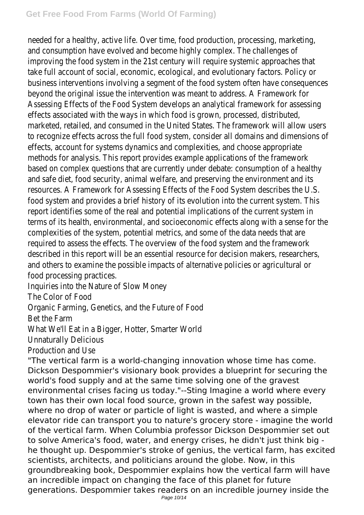### **Get Free Food From Farms (World Of Farming)**

needed for a healthy, active life. Over time, food production, processing, marketing, and consumption have evolved and become highly complex. The challenges of improving the food system in the 21st century will require systemic approaches that take full account of social, economic, ecological, and evolutionary factors. Policy or business interventions involving a segment of the food system often have consequences beyond the original issue the intervention was meant to address. A Framework for Assessing Effects of the Food System develops an analytical framework for assessing effects associated with the ways in which food is grown, processed, distributed, marketed, retailed, and consumed in the United States. The framework will allow users to recognize effects across the full food system, consider all domains and dimensions of effects, account for systems dynamics and complexities, and choose appropriate methods for analysis. This report provides example applications of the framework based on complex questions that are currently under debate: consumption of a healthy and safe diet, food security, animal welfare, and preserving the environment and its resources. A Framework for Assessing Effects of the Food System describes the U.S. food system and provides a brief history of its evolution into the current system. This report identifies some of the real and potential implications of the current system in terms of its health, environmental, and socioeconomic effects along with a sense for the complexities of the system, potential metrics, and some of the data needs that are required to assess the effects. The overview of the food system and the framework described in this report will be an essential resource for decision makers, researchers, and others to examine the possible impacts of alternative policies or agricultural or food processing practices.

Inquiries into the Nature of Slow Money

The Color of Food

Organic Farming, Genetics, and the Future of Food

Bet the Farm

What We'll Eat in a Bigger, Hotter, Smarter World

Unnaturally Delicious

Production and Use

"The vertical farm is a world-changing innovation whose time has come. Dickson Despommier's visionary book provides a blueprint for securing the world's food supply and at the same time solving one of the gravest environmental crises facing us today."--Sting Imagine a world where every town has their own local food source, grown in the safest way possible, where no drop of water or particle of light is wasted, and where a simple elevator ride can transport you to nature's grocery store - imagine the world of the vertical farm. When Columbia professor Dickson Despommier set out to solve America's food, water, and energy crises, he didn't just think big he thought up. Despommier's stroke of genius, the vertical farm, has excited scientists, architects, and politicians around the globe. Now, in this groundbreaking book, Despommier explains how the vertical farm will have an incredible impact on changing the face of this planet for future generations. Despommier takes readers on an incredible journey inside the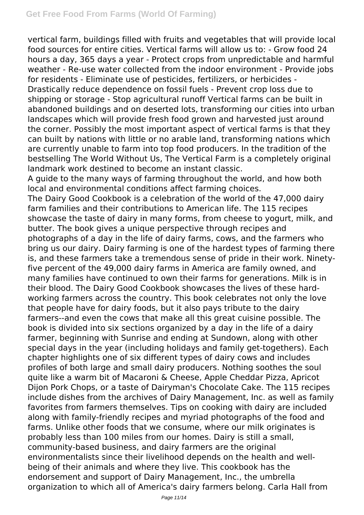vertical farm, buildings filled with fruits and vegetables that will provide local food sources for entire cities. Vertical farms will allow us to: - Grow food 24 hours a day, 365 days a year - Protect crops from unpredictable and harmful weather - Re-use water collected from the indoor environment - Provide jobs for residents - Eliminate use of pesticides, fertilizers, or herbicides - Drastically reduce dependence on fossil fuels - Prevent crop loss due to shipping or storage - Stop agricultural runoff Vertical farms can be built in abandoned buildings and on deserted lots, transforming our cities into urban landscapes which will provide fresh food grown and harvested just around the corner. Possibly the most important aspect of vertical farms is that they can built by nations with little or no arable land, transforming nations which are currently unable to farm into top food producers. In the tradition of the bestselling The World Without Us, The Vertical Farm is a completely original landmark work destined to become an instant classic.

A guide to the many ways of farming throughout the world, and how both local and environmental conditions affect farming choices.

The Dairy Good Cookbook is a celebration of the world of the 47,000 dairy farm families and their contributions to American life. The 115 recipes showcase the taste of dairy in many forms, from cheese to yogurt, milk, and butter. The book gives a unique perspective through recipes and photographs of a day in the life of dairy farms, cows, and the farmers who bring us our dairy. Dairy farming is one of the hardest types of farming there is, and these farmers take a tremendous sense of pride in their work. Ninetyfive percent of the 49,000 dairy farms in America are family owned, and many families have continued to own their farms for generations. Milk is in their blood. The Dairy Good Cookbook showcases the lives of these hardworking farmers across the country. This book celebrates not only the love that people have for dairy foods, but it also pays tribute to the dairy farmers--and even the cows that make all this great cuisine possible. The book is divided into six sections organized by a day in the life of a dairy farmer, beginning with Sunrise and ending at Sundown, along with other special days in the year (including holidays and family get-togethers). Each chapter highlights one of six different types of dairy cows and includes profiles of both large and small dairy producers. Nothing soothes the soul quite like a warm bit of Macaroni & Cheese, Apple Cheddar Pizza, Apricot Dijon Pork Chops, or a taste of Dairyman's Chocolate Cake. The 115 recipes include dishes from the archives of Dairy Management, Inc. as well as family favorites from farmers themselves. Tips on cooking with dairy are included along with family-friendly recipes and myriad photographs of the food and farms. Unlike other foods that we consume, where our milk originates is probably less than 100 miles from our homes. Dairy is still a small, community-based business, and dairy farmers are the original environmentalists since their livelihood depends on the health and wellbeing of their animals and where they live. This cookbook has the endorsement and support of Dairy Management, Inc., the umbrella organization to which all of America's dairy farmers belong. Carla Hall from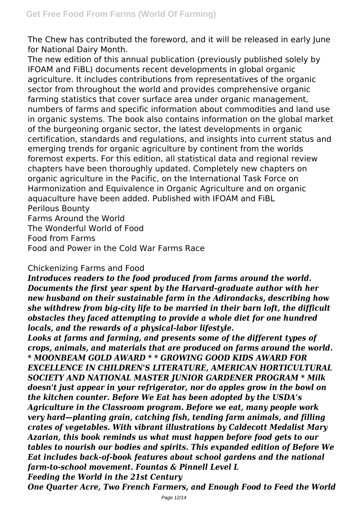The Chew has contributed the foreword, and it will be released in early June for National Dairy Month.

The new edition of this annual publication (previously published solely by IFOAM and FiBL) documents recent developments in global organic agriculture. It includes contributions from representatives of the organic sector from throughout the world and provides comprehensive organic farming statistics that cover surface area under organic management, numbers of farms and specific information about commodities and land use in organic systems. The book also contains information on the global market of the burgeoning organic sector, the latest developments in organic certification, standards and regulations, and insights into current status and emerging trends for organic agriculture by continent from the worlds foremost experts. For this edition, all statistical data and regional review chapters have been thoroughly updated. Completely new chapters on organic agriculture in the Pacific, on the International Task Force on Harmonization and Equivalence in Organic Agriculture and on organic aquaculture have been added. Published with IFOAM and FiBL Perilous Bounty Farms Around the World The Wonderful World of Food

Food from Farms

Food and Power in the Cold War Farms Race

### Chickenizing Farms and Food

*Introduces readers to the food produced from farms around the world. Documents the first year spent by the Harvard-graduate author with her new husband on their sustainable farm in the Adirondacks, describing how she withdrew from big-city life to be married in their barn loft, the difficult obstacles they faced attempting to provide a whole diet for one hundred locals, and the rewards of a physical-labor lifestyle.*

*Looks at farms and farming, and presents some of the different types of crops, animals, and materials that are produced on farms around the world. \* MOONBEAM GOLD AWARD \* \* GROWING GOOD KIDS AWARD FOR EXCELLENCE IN CHILDREN'S LITERATURE, AMERICAN HORTICULTURAL SOCIETY AND NATIONAL MASTER JUNIOR GARDENER PROGRAM \* Milk doesn't just appear in your refrigerator, nor do apples grow in the bowl on the kitchen counter. Before We Eat has been adopted by the USDA's Agriculture in the Classroom program. Before we eat, many people work very hard—planting grain, catching fish, tending farm animals, and filling crates of vegetables. With vibrant illustrations by Caldecott Medalist Mary Azarian, this book reminds us what must happen before food gets to our tables to nourish our bodies and spirits. This expanded edition of Before We Eat includes back-of-book features about school gardens and the national farm-to-school movement. Fountas & Pinnell Level L Feeding the World in the 21st Century*

*One Quarter Acre, Two French Farmers, and Enough Food to Feed the World*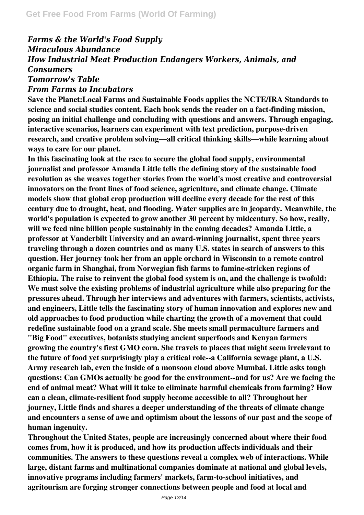#### *Farms & the World's Food Supply Miraculous Abundance How Industrial Meat Production Endangers Workers, Animals, and Consumers Tomorrow's Table From Farms to Incubators*

**Save the Planet:Local Farms and Sustainable Foods applies the NCTE/IRA Standards to science and social studies content. Each book sends the reader on a fact-finding mission, posing an initial challenge and concluding with questions and answers. Through engaging, interactive scenarios, learners can experiment with text prediction, purpose-driven research, and creative problem solving—all critical thinking skills—while learning about ways to care for our planet.**

**In this fascinating look at the race to secure the global food supply, environmental journalist and professor Amanda Little tells the defining story of the sustainable food revolution as she weaves together stories from the world's most creative and controversial innovators on the front lines of food science, agriculture, and climate change. Climate models show that global crop production will decline every decade for the rest of this century due to drought, heat, and flooding. Water supplies are in jeopardy. Meanwhile, the world's population is expected to grow another 30 percent by midcentury. So how, really, will we feed nine billion people sustainably in the coming decades? Amanda Little, a professor at Vanderbilt University and an award-winning journalist, spent three years traveling through a dozen countries and as many U.S. states in search of answers to this question. Her journey took her from an apple orchard in Wisconsin to a remote control organic farm in Shanghai, from Norwegian fish farms to famine-stricken regions of Ethiopia. The raise to reinvent the global food system is on, and the challenge is twofold: We must solve the existing problems of industrial agriculture while also preparing for the pressures ahead. Through her interviews and adventures with farmers, scientists, activists, and engineers, Little tells the fascinating story of human innovation and explores new and old approaches to food production while charting the growth of a movement that could redefine sustainable food on a grand scale. She meets small permaculture farmers and "Big Food" executives, botanists studying ancient superfoods and Kenyan farmers growing the country's first GMO corn. She travels to places that might seem irrelevant to the future of food yet surprisingly play a critical role--a California sewage plant, a U.S. Army research lab, even the inside of a monsoon cloud above Mumbai. Little asks tough questions: Can GMOs actually be good for the environment--and for us? Are we facing the end of animal meat? What will it take to eliminate harmful chemicals from farming? How can a clean, climate-resilient food supply become accessible to all? Throughout her journey, Little finds and shares a deeper understanding of the threats of climate change and encounters a sense of awe and optimism about the lessons of our past and the scope of human ingenuity.**

**Throughout the United States, people are increasingly concerned about where their food comes from, how it is produced, and how its production affects individuals and their communities. The answers to these questions reveal a complex web of interactions. While large, distant farms and multinational companies dominate at national and global levels, innovative programs including farmers' markets, farm-to-school initiatives, and agritourism are forging stronger connections between people and food at local and**